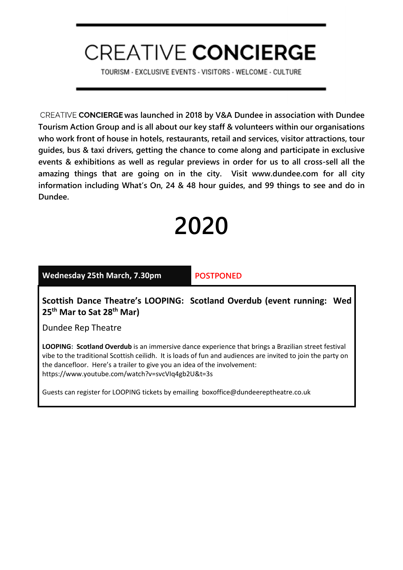# **CREATIVE CONCIERGE**

TOURISM - EXCLUSIVE EVENTS - VISITORS - WELCOME - CULTURE

CREATIVE CONCIERGE was launched in 2018 by V&A Dundee in association with Dundee Tourism Action Group and is all about our key staff & volunteers within our organisations who work front of house in hotels, restaurants, retail and services, visitor attractions, tour guides, bus & taxi drivers, getting the chance to come along and participate in exclusive events & exhibitions as well as regular previews in order for us to all cross-sell all the amazing things that are going on in the city. Visit <www.dundee.com>for all city information includin[g What's On,](https://www.dundee.com/whats-on) [24 &](https://www.dundee.com/resources/24-hours-dundee-0) [48 hour guides,](https://www.dundee.com/resources/48-hours-dundee) and [99 things to see and do in](https://www.dundee.com/resources/99-things-see-do-dundee)  Dundee.

# 2020

#### Wednesday 25th March, 7.30pm POSTPONED

Scottish Dance Theatre's LOOPING: Scotland Overdub (event running: Wed 25<sup>th</sup> Mar to Sat 28<sup>th</sup> Mar)

Dundee Rep Theatre

LOOPING: Scotland Overdub is an immersive dance experience that brings a Brazilian street festival vibe to the traditional Scottish ceilidh. It is loads of fun and audiences are invited to join the party on the dancefloor. Here's a trailer to give you an idea of the involvement: https://www.youtube.com/watch?v=svcVIq4gb2U&t=3s

Guests can register for LOOPING tickets by emailing boxoffice@dundeereptheatre.co.uk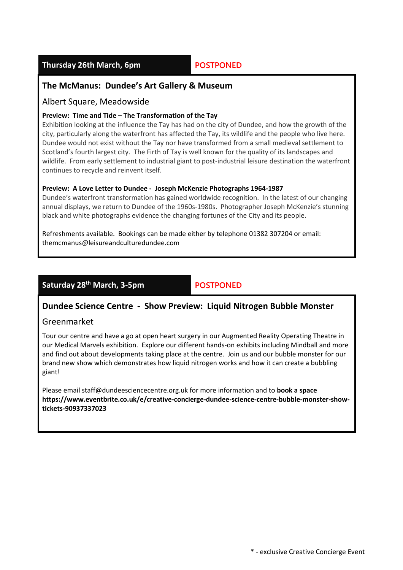# Thursday 26th March, 6pm POSTPONED

# The McManus: Dundee's Art Gallery & Museum

# Albert Square, Meadowside

#### Preview: Time and Tide – The Transformation of the Tay

Exhibition looking at the influence the Tay has had on the city of Dundee, and how the growth of the city, particularly along the waterfront has affected the Tay, its wildlife and the people who live here. Dundee would not exist without the Tay nor have transformed from a small medieval settlement to Scotland's fourth largest city. The Firth of Tay is well known for the quality of its landscapes and wildlife. From early settlement to industrial giant to post-industrial leisure destination the waterfront continues to recycle and reinvent itself.

#### Preview: A Love Letter to Dundee - Joseph McKenzie Photographs 1964-1987

Dundee's waterfront transformation has gained worldwide recognition. In the latest of our changing annual displays, we return to Dundee of the 1960s-1980s. Photographer Joseph McKenzie's stunning black and white photographs evidence the changing fortunes of the City and its people.

Refreshments available. Bookings can be made either by telephone 01382 307204 or email: themcmanus@leisureandculturedundee.com

# Saturday 28<sup>th</sup> March, 3-5pm POSTPONED

# Dundee Science Centre - Show Preview: Liquid Nitrogen Bubble Monster

#### Greenmarket

Tour our centre and have a go at open heart surgery in our Augmented Reality Operating Theatre in our Medical Marvels exhibition. Explore our different hands-on exhibits including Mindball and more and find out about developments taking place at the centre. Join us and our bubble monster for our brand new show which demonstrates how liquid nitrogen works and how it can create a bubbling giant!

Please email staff@dundeesciencecentre.org.uk for more information and to book a space https://www.eventbrite.co.uk/e/creative-concierge-dundee-science-centre-bubble-monster-showtickets-90937337023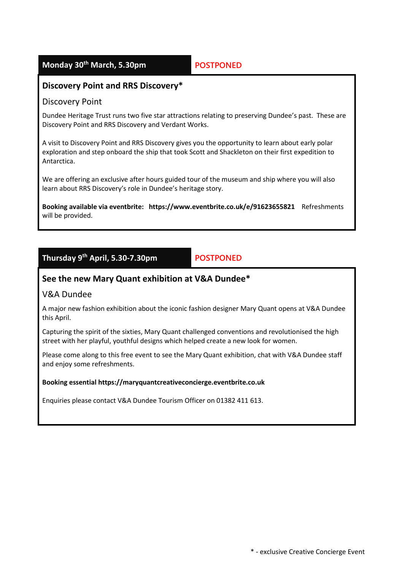# Monday 30<sup>th</sup> March, 5.30pm POSTPONED

# Discovery Point and RRS Discovery\*

### Discovery Point

Dundee Heritage Trust runs two five star attractions relating to preserving Dundee's past. These are Discovery Point and RRS Discovery and Verdant Works.

A visit to Discovery Point and RRS Discovery gives you the opportunity to learn about early polar exploration and step onboard the ship that took Scott and Shackleton on their first expedition to Antarctica.

We are offering an exclusive after hours guided tour of the museum and ship where you will also learn about RRS Discovery's role in Dundee's heritage story.

Booking available via eventbrite: https://www.eventbrite.co.uk/e/91623655821 Refreshments will be provided.

# Thursday 9th April, 5.30-7.30pm POSTPONED

# See the new Mary Quant exhibition at V&A Dundee\*

# V&A Dundee

A major new fashion exhibition about the iconic fashion designer Mary Quant opens at V&A Dundee this April.

Capturing the spirit of the sixties, Mary Quant challenged conventions and revolutionised the high street with her playful, youthful designs which helped create a new look for women.

Please come along to this free event to see the Mary Quant exhibition, chat with V&A Dundee staff and enjoy some refreshments.

#### Booking essential https://maryquantcreativeconcierge.eventbrite.co.uk

Enquiries please contact V&A Dundee Tourism Officer on 01382 411 613.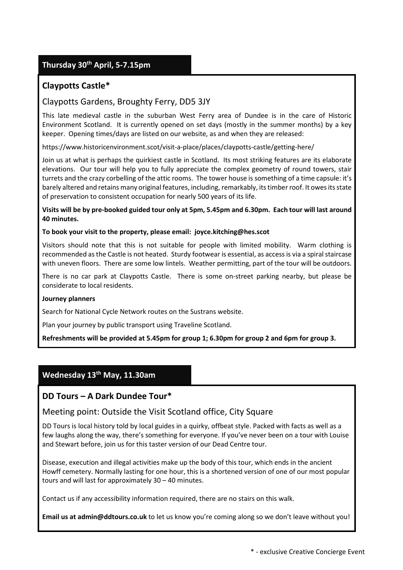# Thursday 30th April, 5-7.15pm

# Claypotts Castle\*

# Claypotts Gardens, Broughty Ferry, DD5 3JY

This late medieval castle in the suburban West Ferry area of Dundee is in the care of Historic Environment Scotland. It is currently opened on set days (mostly in the summer months) by a key keeper. Opening times/days are listed on our website, as and when they are released:

<https://www.historicenvironment.scot/visit-a-place/places/claypotts-castle/getting-here/>

Join us at what is perhaps the quirkiest castle in Scotland. Its most striking features are its elaborate elevations. Our tour will help you to fully appreciate the complex geometry of round towers, stair turrets and the crazy corbelling of the attic rooms. The tower house is something of a time capsule: it's barely altered and retains many original features, including, remarkably, its timber roof. It owes its state of preservation to consistent occupation for nearly 500 years of its life.

Visits will be by pre-booked guided tour only at 5pm, 5.45pm and 6.30pm. Each tour will last around 40 minutes.

#### To book your visit to the property, please email: joyce.kitching@hes.scot

Visitors should note that this is not suitable for people with limited mobility. Warm clothing is recommended as the Castle is not heated. Sturdy footwear is essential, as access is via a spiral staircase with uneven floors. There are some low lintels. Weather permitting, part of the tour will be outdoors.

There is no car park at Claypotts Castle. There is some on-street parking nearby, but please be considerate to local residents.

#### Journey planners

Search for National Cycle Network routes on the Sustrans website.

Plan your journey by public transport using Traveline Scotland.

Refreshments will be provided at 5.45pm for group 1; 6.30pm for group 2 and 6pm for group 3.

# Wednesday 13<sup>th</sup> May, 11.30am

# DD Tours – A Dark Dundee Tour\*

#### Meeting point: Outside the Visit Scotland office, City Square

DD Tours is local history told by local guides in a quirky, offbeat style. Packed with facts as well as a few laughs along the way, there's something for everyone. If you've never been on a tour with Louise and Stewart before, join us for this taster version of our Dead Centre tour.

Disease, execution and illegal activities make up the body of this tour, which ends in the ancient Howff cemetery. Normally lasting for one hour, this is a shortened version of one of our most popular tours and will last for approximately 30 – 40 minutes.

Contact us if any accessibility information required, there are no stairs on this walk.

Email us at admin@ddtours.co.uk to let us know you're coming along so we don't leave without you!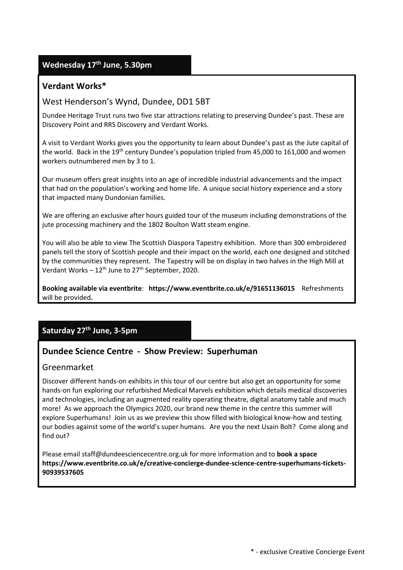# Wednesday 17<sup>th</sup> June, 5.30pm

# Verdant Works\*

# West Henderson's Wynd, Dundee, DD1 5BT

Dundee Heritage Trust runs two five star attractions relating to preserving Dundee's past. These are Discovery Point and RRS Discovery and Verdant Works.

A visit to Verdant Works gives you the opportunity to learn about Dundee's past as the Jute capital of the world. Back in the 19<sup>th</sup> century Dundee's population tripled from 45,000 to 161,000 and women workers outnumbered men by 3 to 1.

Our museum offers great insights into an age of incredible industrial advancements and the impact that had on the population's working and home life. A unique social history experience and a story that impacted many Dundonian families.

We are offering an exclusive after hours guided tour of the museum including demonstrations of the jute processing machinery and the 1802 Boulton Watt steam engine.

You will also be able to view The Scottish Diaspora Tapestry exhibition. More than 300 embroidered panels tell the story of Scottish people and their impact on the world, each one designed and stitched by the communities they represent. The Tapestry will be on display in two halves in the High Mill at Verdant Works  $-12^{th}$  June to 27<sup>th</sup> September, 2020.

Booking available via eventbrite: <https://www.eventbrite.co.uk/e/91651136015> Refreshments will be provided.

# Saturday 27<sup>th</sup> June, 3-5pm

# Dundee Science Centre - Show Preview: Superhuman

#### Greenmarket

Discover different hands-on exhibits in this tour of our centre but also get an opportunity for some hands-on fun exploring our refurbished Medical Marvels exhibition which details medical discoveries and technologies, including an augmented reality operating theatre, digital anatomy table and much more! As we approach the Olympics 2020, our brand new theme in the centre this summer will explore Superhumans! Join us as we preview this show filled with biological know-how and testing our bodies against some of the world's super humans. Are you the next Usain Bolt? Come along and find out?

Please email staff@dundeesciencecentre.org.uk for more information and to book a space [https://www.eventbrite.co.uk/e/creative-concierge-dundee-science-centre-superhumans-tickets-](https://www.eventbrite.co.uk/e/creative-concierge-dundee-science-centre-superhumans-tickets-90939537605)90939537605